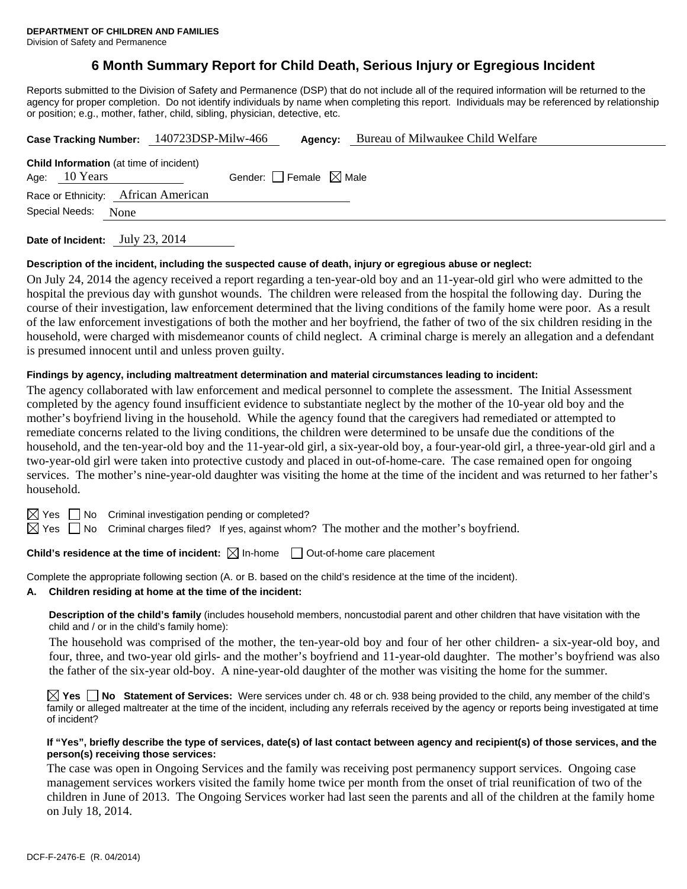# **6 Month Summary Report for Child Death, Serious Injury or Egregious Incident**

Reports submitted to the Division of Safety and Permanence (DSP) that do not include all of the required information will be returned to the agency for proper completion. Do not identify individuals by name when completing this report. Individuals may be referenced by relationship or position; e.g., mother, father, child, sibling, physician, detective, etc.

|                 |                                                | Case Tracking Number: 140723DSP-Milw-466 | Agency:                         | Bureau of Milwaukee Child Welfare |
|-----------------|------------------------------------------------|------------------------------------------|---------------------------------|-----------------------------------|
| Age: $10$ Years | <b>Child Information</b> (at time of incident) |                                          | Gender: Female $\boxtimes$ Male |                                   |
|                 | Race or Ethnicity: African American            |                                          |                                 |                                   |
| Special Needs:  | None                                           |                                          |                                 |                                   |
|                 |                                                |                                          |                                 |                                   |

**Date of Incident:** July 23, 2014

#### **Description of the incident, including the suspected cause of death, injury or egregious abuse or neglect:**

On July 24, 2014 the agency received a report regarding a ten-year-old boy and an 11-year-old girl who were admitted to the hospital the previous day with gunshot wounds. The children were released from the hospital the following day. During the course of their investigation, law enforcement determined that the living conditions of the family home were poor. As a result of the law enforcement investigations of both the mother and her boyfriend, the father of two of the six children residing in the household, were charged with misdemeanor counts of child neglect. A criminal charge is merely an allegation and a defendant is presumed innocent until and unless proven guilty.

#### **Findings by agency, including maltreatment determination and material circumstances leading to incident:**

The agency collaborated with law enforcement and medical personnel to complete the assessment. The Initial Assessment completed by the agency found insufficient evidence to substantiate neglect by the mother of the 10-year old boy and the mother's boyfriend living in the household. While the agency found that the caregivers had remediated or attempted to remediate concerns related to the living conditions, the children were determined to be unsafe due the conditions of the household, and the ten-year-old boy and the 11-year-old girl, a six-year-old boy, a four-year-old girl, a three-year-old girl and a two-year-old girl were taken into protective custody and placed in out-of-home-care. The case remained open for ongoing services. The mother's nine-year-old daughter was visiting the home at the time of the incident and was returned to her father's household.

 $\boxtimes$  Yes  $\Box$  No Criminal investigation pending or completed?

 $\boxtimes$  Yes  $\Box$  No Criminal charges filed? If yes, against whom? The mother and the mother's boyfriend.

## **Child's residence at the time of incident:**  $\boxtimes$  In-home  $\Box$  Out-of-home care placement

Complete the appropriate following section (A. or B. based on the child's residence at the time of the incident).

**A. Children residing at home at the time of the incident:**

**Description of the child's family** (includes household members, noncustodial parent and other children that have visitation with the child and / or in the child's family home):

 The household was comprised of the mother, the ten-year-old boy and four of her other children- a six-year-old boy, and four, three, and two-year old girls- and the mother's boyfriend and 11-year-old daughter. The mother's boyfriend was also the father of the six-year old-boy. A nine-year-old daughter of the mother was visiting the home for the summer.

**Yes No Statement of Services:** Were services under ch. 48 or ch. 938 being provided to the child, any member of the child's family or alleged maltreater at the time of the incident, including any referrals received by the agency or reports being investigated at time of incident?

### **If "Yes", briefly describe the type of services, date(s) of last contact between agency and recipient(s) of those services, and the person(s) receiving those services:**

The case was open in Ongoing Services and the family was receiving post permanency support services. Ongoing case management services workers visited the family home twice per month from the onset of trial reunification of two of the children in June of 2013. The Ongoing Services worker had last seen the parents and all of the children at the family home on July 18, 2014.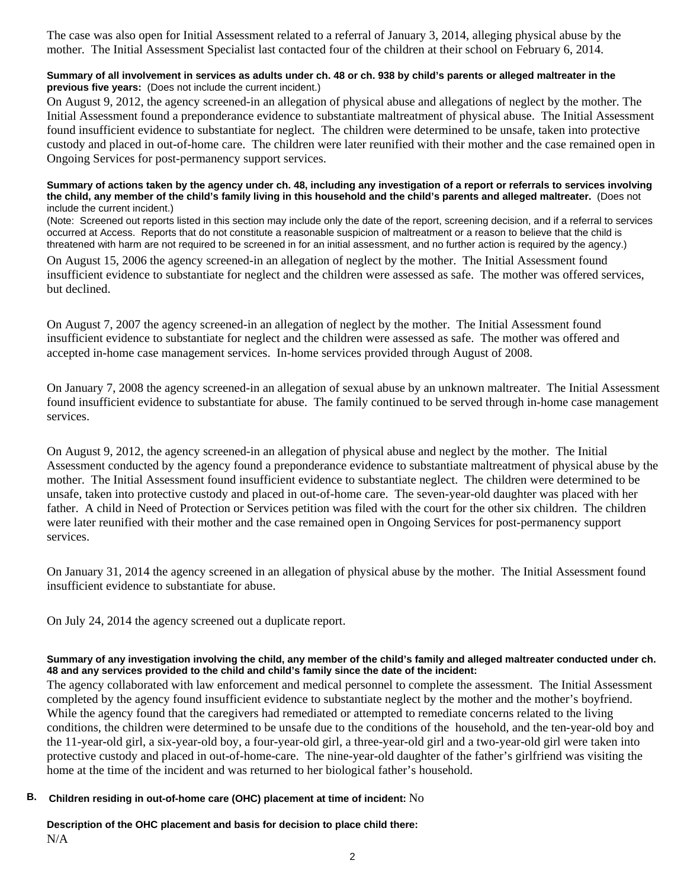The case was also open for Initial Assessment related to a referral of January 3, 2014, alleging physical abuse by the mother. The Initial Assessment Specialist last contacted four of the children at their school on February 6, 2014.

### **Summary of all involvement in services as adults under ch. 48 or ch. 938 by child's parents or alleged maltreater in the previous five years:** (Does not include the current incident.)

On August 9, 2012, the agency screened-in an allegation of physical abuse and allegations of neglect by the mother. The Initial Assessment found a preponderance evidence to substantiate maltreatment of physical abuse. The Initial Assessment found insufficient evidence to substantiate for neglect. The children were determined to be unsafe, taken into protective custody and placed in out-of-home care. The children were later reunified with their mother and the case remained open in Ongoing Services for post-permanency support services.

#### **Summary of actions taken by the agency under ch. 48, including any investigation of a report or referrals to services involving the child, any member of the child's family living in this household and the child's parents and alleged maltreater.** (Does not include the current incident.)

(Note: Screened out reports listed in this section may include only the date of the report, screening decision, and if a referral to services occurred at Access. Reports that do not constitute a reasonable suspicion of maltreatment or a reason to believe that the child is threatened with harm are not required to be screened in for an initial assessment, and no further action is required by the agency.)

On August 15, 2006 the agency screened-in an allegation of neglect by the mother. The Initial Assessment found insufficient evidence to substantiate for neglect and the children were assessed as safe. The mother was offered services, but declined.

On August 7, 2007 the agency screened-in an allegation of neglect by the mother. The Initial Assessment found insufficient evidence to substantiate for neglect and the children were assessed as safe. The mother was offered and accepted in-home case management services. In-home services provided through August of 2008.

On January 7, 2008 the agency screened-in an allegation of sexual abuse by an unknown maltreater. The Initial Assessment found insufficient evidence to substantiate for abuse. The family continued to be served through in-home case management services.

On August 9, 2012, the agency screened-in an allegation of physical abuse and neglect by the mother. The Initial Assessment conducted by the agency found a preponderance evidence to substantiate maltreatment of physical abuse by the mother. The Initial Assessment found insufficient evidence to substantiate neglect. The children were determined to be unsafe, taken into protective custody and placed in out-of-home care. The seven-year-old daughter was placed with her father. A child in Need of Protection or Services petition was filed with the court for the other six children. The children were later reunified with their mother and the case remained open in Ongoing Services for post-permanency support services.

On January 31, 2014 the agency screened in an allegation of physical abuse by the mother. The Initial Assessment found insufficient evidence to substantiate for abuse.

On July 24, 2014 the agency screened out a duplicate report.

### **Summary of any investigation involving the child, any member of the child's family and alleged maltreater conducted under ch. 48 and any services provided to the child and child's family since the date of the incident:**

The agency collaborated with law enforcement and medical personnel to complete the assessment. The Initial Assessment completed by the agency found insufficient evidence to substantiate neglect by the mother and the mother's boyfriend. While the agency found that the caregivers had remediated or attempted to remediate concerns related to the living conditions, the children were determined to be unsafe due to the conditions of the household, and the ten-year-old boy and the 11-year-old girl, a six-year-old boy, a four-year-old girl, a three-year-old girl and a two-year-old girl were taken into protective custody and placed in out-of-home-care. The nine-year-old daughter of the father's girlfriend was visiting the home at the time of the incident and was returned to her biological father's household.

## **B. Children residing in out-of-home care (OHC) placement at time of incident:** No

**Description of the OHC placement and basis for decision to place child there:** N/A